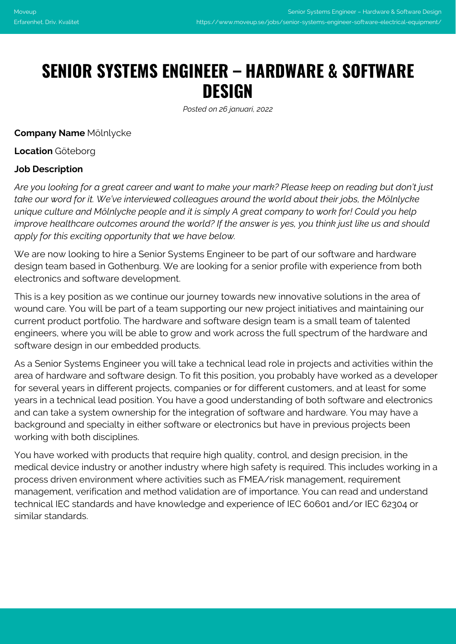# **SENIOR SYSTEMS ENGINEER – HARDWARE & SOFTWARE DESIGN**

*Posted on 26 januari, 2022*

**Company Name** Mölnlycke

**Location** Göteborg

#### **Job Description**

*Are you looking for a great career and want to make your mark? Please keep on reading but don't just take our word for it. We've interviewed colleagues around the world about their jobs, the Mölnlycke unique culture and Mölnlycke people and it is simply A great company to work for! Could you help improve healthcare outcomes around the world? If the answer is yes, you think just like us and should apply for this exciting opportunity that we have below.* 

We are now looking to hire a Senior Systems Engineer to be part of our software and hardware design team based in Gothenburg. We are looking for a senior profile with experience from both electronics and software development.

This is a key position as we continue our journey towards new innovative solutions in the area of wound care. You will be part of a team supporting our new project initiatives and maintaining our current product portfolio. The hardware and software design team is a small team of talented engineers, where you will be able to grow and work across the full spectrum of the hardware and software design in our embedded products.

As a Senior Systems Engineer you will take a technical lead role in projects and activities within the area of hardware and software design. To fit this position, you probably have worked as a developer for several years in different projects, companies or for different customers, and at least for some years in a technical lead position. You have a good understanding of both software and electronics and can take a system ownership for the integration of software and hardware. You may have a background and specialty in either software or electronics but have in previous projects been working with both disciplines.

You have worked with products that require high quality, control, and design precision, in the medical device industry or another industry where high safety is required. This includes working in a process driven environment where activities such as FMEA/risk management, requirement management, verification and method validation are of importance. You can read and understand technical IEC standards and have knowledge and experience of IEC 60601 and/or IEC 62304 or similar standards.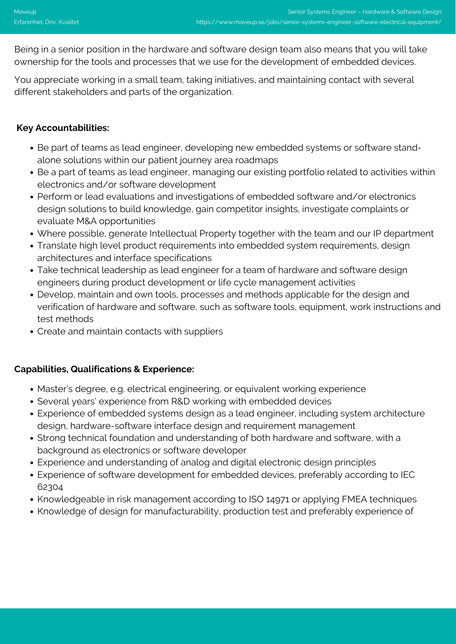Being in a senior position in the hardware and software design team also means that you will take ownership for the tools and processes that we use for the development of embedded devices.

You appreciate working in a small team, taking initiatives, and maintaining contact with several different stakeholders and parts of the organization.

# **Key Accountabilities:**

- Be part of teams as lead engineer, developing new embedded systems or software standalone solutions within our patient journey area roadmaps
- Be a part of teams as lead engineer, managing our existing portfolio related to activities within electronics and/or software development
- Perform or lead evaluations and investigations of embedded software and/or electronics design solutions to build knowledge, gain competitor insights, investigate complaints or evaluate M&A opportunities
- Where possible, generate Intellectual Property together with the team and our IP department
- Translate high level product requirements into embedded system requirements, design architectures and interface specifications
- Take technical leadership as lead engineer for a team of hardware and software design engineers during product development or life cycle management activities
- Develop, maintain and own tools, processes and methods applicable for the design and verification of hardware and software, such as software tools, equipment, work instructions and test methods
- Create and maintain contacts with suppliers

#### **Capabilities, Qualifications & Experience:**

- Master's degree, e.g. electrical engineering, or equivalent working experience
- Several years' experience from R&D working with embedded devices
- Experience of embedded systems design as a lead engineer, including system architecture design, hardware-software interface design and requirement management
- Strong technical foundation and understanding of both hardware and software, with a background as electronics or software developer
- Experience and understanding of analog and digital electronic design principles
- Experience of software development for embedded devices, preferably according to IEC 62304
- Knowledgeable in risk management according to ISO 14971 or applying FMEA techniques
- Knowledge of design for manufacturability, production test and preferably experience of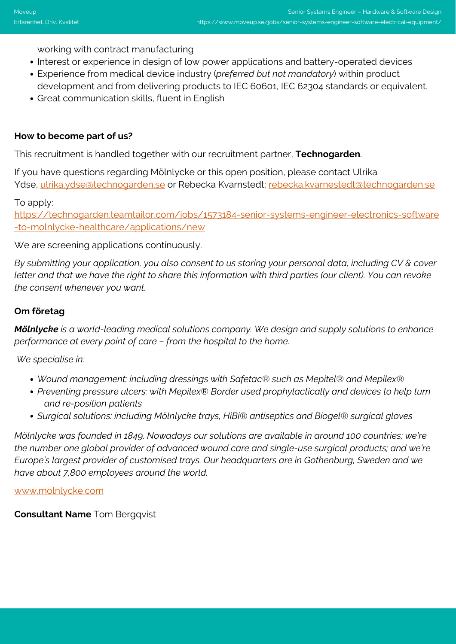working with contract manufacturing

- Interest or experience in design of low power applications and battery-operated devices
- Experience from medical device industry (*preferred but not mandatory*) within product development and from delivering products to IEC 60601, IEC 62304 standards or equivalent.
- Great communication skills, fluent in English

### **How to become part of us?**

This recruitment is handled together with our recruitment partner, **Technogarden**.

If you have questions regarding Mölnlycke or this open position, please contact Ulrika Ydse, [ulrika.ydse@technogarden.se](mailto:ulrika.ydse@technogarden.se) or Rebecka Kvarnstedt; [rebecka.kvarnestedt@technogarden.se](mailto:rebecka.kvarnestedt@technogarden.se)

To apply:

[https://technogarden.teamtailor.com/jobs/1573184-senior-systems-engineer-electronics-software](https://technogarden.teamtailor.com/jobs/1573184-senior-systems-engineer-electronics-software-to-molnlycke-healthcare/applications/new) [-to-molnlycke-healthcare/applications/new](https://technogarden.teamtailor.com/jobs/1573184-senior-systems-engineer-electronics-software-to-molnlycke-healthcare/applications/new)

We are screening applications continuously.

*By submitting your application, you also consent to us storing your personal data, including CV & cover letter and that we have the right to share this information with third parties (our client). You can revoke the consent whenever you want.*

## **Om företag**

*Mölnlycke is a world-leading medical solutions company. We design and supply solutions to enhance performance at every point of care – from the hospital to the home.*

*We specialise in:*

- *Wound management: including dressings with Safetac® such as Mepitel® and Mepilex®*
- *Preventing pressure ulcers: with Mepilex® Border used prophylactically and devices to help turn and re-position patients*
- *Surgical solutions: including Mölnlycke trays, HiBi® antiseptics and Biogel® surgical gloves*

*Mölnlycke was founded in 1849. Nowadays our solutions are available in around 100 countries; we're the number one global provider of advanced wound care and single-use surgical products; and we're Europe's largest provider of customised trays. Our headquarters are in Gothenburg, Sweden and we have about 7,800 employees around the world.*

[www.molnlycke.com](http://www.molnlycke.com)

**Consultant Name** Tom Bergqvist